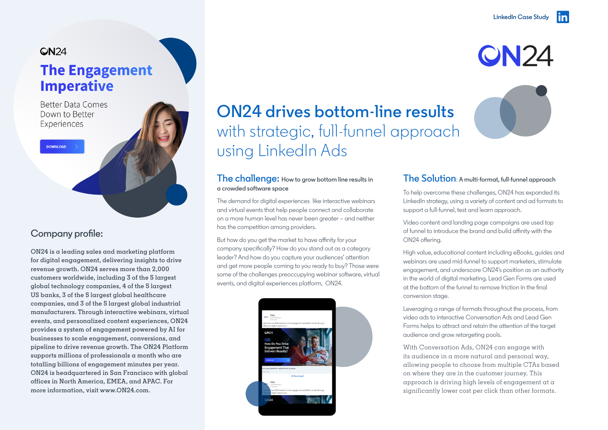**QN24** 

## QN<sub>24</sub>

## **The Engagement Imperative**

**Better Data Comes** Down to Better Experiences

DOWNLOAD

## **Company profile:**

**ON24 is a leading sales and marketing platform for digital engagement, delivering insights to drive revenue growth. ON24 serves more than 2,000 customers worldwide, including 3 of the 5 largest global technology companies, 4 of the 5 largest US banks, 3 of the 5 largest global healthcare companies, and 3 of the 5 largest global industrial manufacturers. Through interactive webinars, virtual events, and personalized content experiences, ON24 provides a system of engagement powered by AI for businesses to scale engagement, conversions, and pipeline to drive revenue growth. The ON24 Platform supports millions of professionals a month who are totalling billions of engagement minutes per year. ON24 is headquartered in San Francisco with global offices in North America, EMEA, and APAC. For more information, visit [www.ON24.com.](http://www.ON24.com.)**

# **ON24 drives bottom-line results** with strategic, full-funnel approach using LinkedIn Ads

#### **The challenge: How to grow bottom line results in a crowded software space**

The demand for digital experiences like interactive webinars and virtual events that help people connect and collaborate on a more human level has never been greater – and neither has the competition among providers.

But how do you get the market to have affinity for your company specifically? How do you stand out as a category leader? And how do you capture your audiences' attention and get more people coming to you ready to buy? Those were some of the challenges preoccupying webinar software, virtual events, and digital experiences platform, ON24.



## **The Solution**: **A multi-format, full-funnel approach**

To help overcome these challenges, ON24 has expanded its LinkedIn strategy, using a variety of content and ad formats to support a full-funnel, test and learn approach.

Video content and landing page campaigns are used top of funnel to introduce the brand and build affinity with the ON24 offering.

High value, educational content including eBooks, guides and webinars are used mid-funnel to support marketers, stimulate engagement, and underscore ON24's position as an authority in the world of digital marketing. Lead Gen Forms are used at the bottom of the funnel to remove friction in the final conversion stage.

Leveraging a range of formats throughout the process, from video ads to interactive Conversation Ads and Lead Gen Forms helps to attract and retain the attention of the target audience and grow retargeting pools.

With Conversation Ads, ON24 can engage with its audience in a more natural and personal way, allowing people to choose from multiple CTAs based on where they are in the customer journey. This approach is driving high levels of engagement at a significantly lower cost per click than other formats.